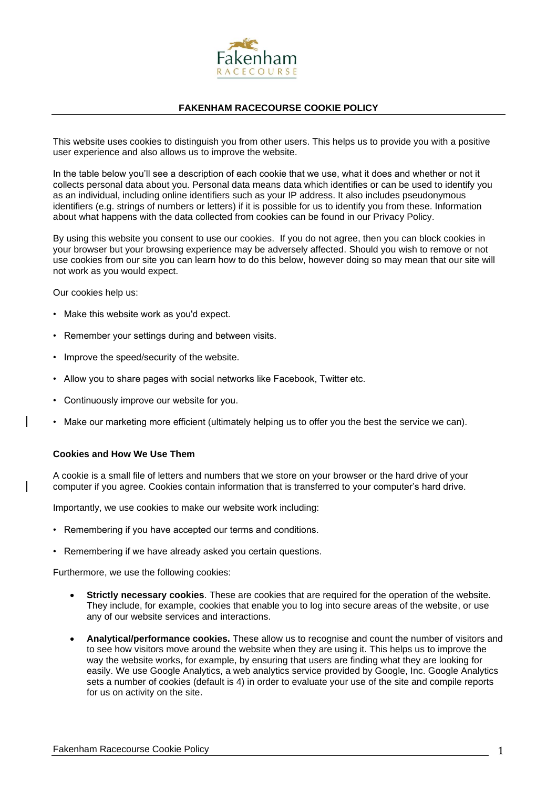

## **FAKENHAM RACECOURSE COOKIE POLICY**

This website uses cookies to distinguish you from other users. This helps us to provide you with a positive user experience and also allows us to improve the website.

In the table below you'll see a description of each cookie that we use, what it does and whether or not it collects personal data about you. Personal data means data which identifies or can be used to identify you as an individual, including online identifiers such as your IP address. It also includes pseudonymous identifiers (e.g. strings of numbers or letters) if it is possible for us to identify you from these. Information about what happens with the data collected from cookies can be found in our Privacy Policy.

By using this website you consent to use our cookies. If you do not agree, then you can block cookies in your browser but your browsing experience may be adversely affected. Should you wish to remove or not use cookies from our site you can learn how to do this below, however doing so may mean that our site will not work as you would expect.

Our cookies help us:

- Make this website work as you'd expect.
- Remember your settings during and between visits.
- Improve the speed/security of the website.
- Allow you to share pages with social networks like Facebook, Twitter etc.
- Continuously improve our website for you.
- Make our marketing more efficient (ultimately helping us to offer you the best the service we can).

## **Cookies and How We Use Them**

A cookie is a small file of letters and numbers that we store on your browser or the hard drive of your computer if you agree. Cookies contain information that is transferred to your computer's hard drive.

Importantly, we use cookies to make our website work including:

- Remembering if you have accepted our terms and conditions.
- Remembering if we have already asked you certain questions.

Furthermore, we use the following cookies:

- **Strictly necessary cookies**. These are cookies that are required for the operation of the website. They include, for example, cookies that enable you to log into secure areas of the website, or use any of our website services and interactions.
- **Analytical/performance cookies.** These allow us to recognise and count the number of visitors and to see how visitors move around the website when they are using it. This helps us to improve the way the website works, for example, by ensuring that users are finding what they are looking for easily. We use Google Analytics, a web analytics service provided by Google, Inc. Google Analytics sets a number of cookies (default is 4) in order to evaluate your use of the site and compile reports for us on activity on the site.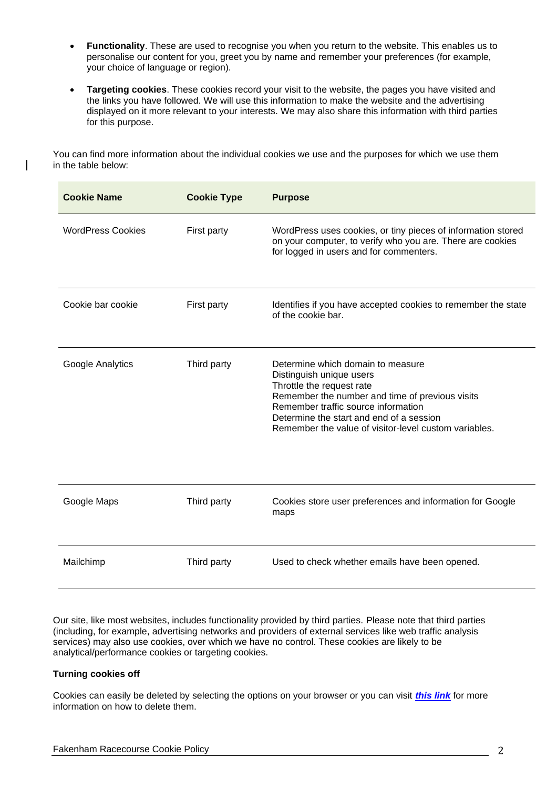- **Functionality**. These are used to recognise you when you return to the website. This enables us to personalise our content for you, greet you by name and remember your preferences (for example, your choice of language or region).
- **Targeting cookies**. These cookies record your visit to the website, the pages you have visited and the links you have followed. We will use this information to make the website and the advertising displayed on it more relevant to your interests. We may also share this information with third parties for this purpose.

You can find more information about the individual cookies we use and the purposes for which we use them in the table below:

| <b>Cookie Name</b>       | <b>Cookie Type</b> | <b>Purpose</b>                                                                                                                                                                                                                                                                            |
|--------------------------|--------------------|-------------------------------------------------------------------------------------------------------------------------------------------------------------------------------------------------------------------------------------------------------------------------------------------|
| <b>WordPress Cookies</b> | First party        | WordPress uses cookies, or tiny pieces of information stored<br>on your computer, to verify who you are. There are cookies<br>for logged in users and for commenters.                                                                                                                     |
| Cookie bar cookie        | First party        | Identifies if you have accepted cookies to remember the state<br>of the cookie bar.                                                                                                                                                                                                       |
| Google Analytics         | Third party        | Determine which domain to measure<br>Distinguish unique users<br>Throttle the request rate<br>Remember the number and time of previous visits<br>Remember traffic source information<br>Determine the start and end of a session<br>Remember the value of visitor-level custom variables. |
| Google Maps              | Third party        | Cookies store user preferences and information for Google<br>maps                                                                                                                                                                                                                         |
| Mailchimp                | Third party        | Used to check whether emails have been opened.                                                                                                                                                                                                                                            |

Our site, like most websites, includes functionality provided by third parties. Please note that third parties (including, for example, advertising networks and providers of external services like web traffic analysis services) may also use cookies, over which we have no control. These cookies are likely to be analytical/performance cookies or targeting cookies.

## **Turning cookies off**

Cookies can easily be deleted by selecting the options on your browser or you can visit *[this link](https://support.google.com/accounts/answer/61416?co=GENIE.Platform%3DDesktop&hl=en)* for more information on how to delete them.